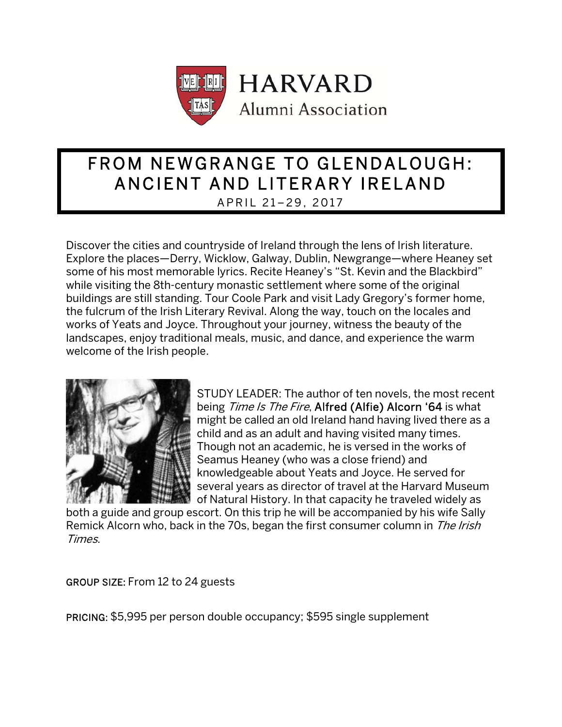

# FROM NEWGRANGE TO GLENDALOUGH: ANCIENT AND LITERARY IRELAND APRIL 21–29, 2017

Discover the cities and countryside of Ireland through the lens of Irish literature. Explore the places—Derry, Wicklow, Galway, Dublin, Newgrange—where Heaney set some of his most memorable lyrics. Recite Heaney's "St. Kevin and the Blackbird" while visiting the 8th-century monastic settlement where some of the original buildings are still standing. Tour Coole Park and visit Lady Gregory's former home, the fulcrum of the Irish Literary Revival. Along the way, touch on the locales and works of Yeats and Joyce. Throughout your journey, witness the beauty of the landscapes, enjoy traditional meals, music, and dance, and experience the warm welcome of the Irish people.



STUDY LEADER: The author of ten novels, the most recent being Time Is The Fire, Alfred (Alfie) Alcorn '64 is what might be called an old Ireland hand having lived there as a child and as an adult and having visited many times. Though not an academic, he is versed in the works of Seamus Heaney (who was a close friend) and knowledgeable about Yeats and Joyce. He served for several years as director of travel at the Harvard Museum of Natural History. In that capacity he traveled widely as

both a guide and group escort. On this trip he will be accompanied by his wife Sally Remick Alcorn who, back in the 70s, began the first consumer column in The Irish Times.

GROUP SIZE: From 12 to 24 guests

PRICING: \$5,995 per person double occupancy; \$595 single supplement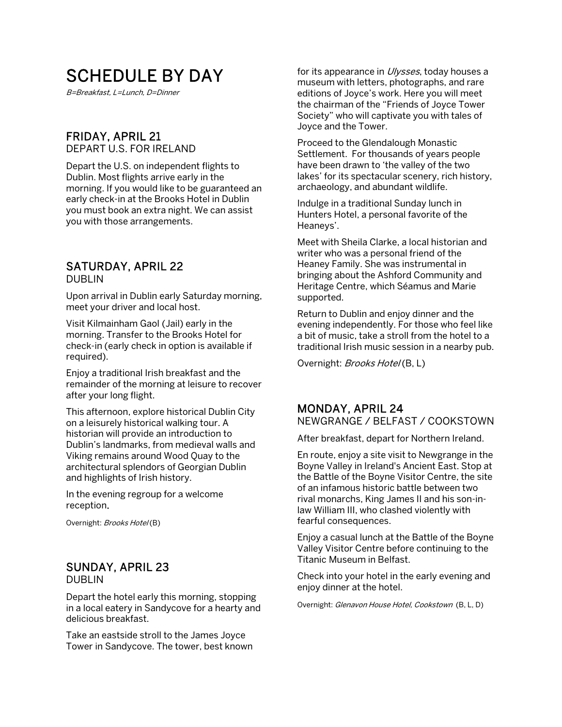# SCHEDULE BY DAY

B=Breakfast, L=Lunch, D=Dinner

### FRIDAY, APRIL 21

DEPART U.S. FOR IRELAND

Depart the U.S. on independent flights to Dublin. Most flights arrive early in the morning. If you would like to be guaranteed an early check-in at the Brooks Hotel in Dublin you must book an extra night. We can assist you with those arrangements.

### SATURDAY, APRIL 22

DUBLIN

Upon arrival in Dublin early Saturday morning, meet your driver and local host.

Visit Kilmainham Gaol (Jail) early in the morning. Transfer to the Brooks Hotel for check-in (early check in option is available if required).

Enjoy a traditional Irish breakfast and the remainder of the morning at leisure to recover after your long flight.

This afternoon, explore historical Dublin City on a leisurely historical walking tour. A historian will provide an introduction to Dublin's landmarks, from medieval walls and Viking remains around Wood Quay to the architectural splendors of Georgian Dublin and highlights of Irish history.

In the evening regroup for a welcome reception.

Overnight: Brooks Hotel(B)

#### SUNDAY, APRIL 23 DUBLIN

Depart the hotel early this morning, stopping in a local eatery in Sandycove for a hearty and delicious breakfast.

Take an eastside stroll to the James Joyce Tower in Sandycove. The tower, best known for its appearance in *Ulysses*, today houses a museum with letters, photographs, and rare editions of Joyce's work. Here you will meet the chairman of the "Friends of Joyce Tower Society" who will captivate you with tales of Joyce and the Tower.

Proceed to the Glendalough Monastic Settlement. For thousands of years people have been drawn to 'the valley of the two lakes' for its spectacular scenery, rich history, archaeology, and abundant wildlife.

Indulge in a traditional Sunday lunch in Hunters Hotel, a personal favorite of the Heaneys'.

Meet with Sheila Clarke, a local historian and writer who was a personal friend of the Heaney Family. She was instrumental in bringing about the Ashford Community and Heritage Centre, which Séamus and Marie supported.

Return to Dublin and enjoy dinner and the evening independently. For those who feel like a bit of music, take a stroll from the hotel to a traditional Irish music session in a nearby pub.

Overnight: Brooks Hotel(B, L)

### MONDAY, APRIL 24

NEWGRANGE / BELFAST / COOKSTOWN

After breakfast, depart for Northern Ireland.

En route, enjoy a site visit to Newgrange in the Boyne Valley in Ireland's Ancient East. Stop at the Battle of the Boyne Visitor Centre, the site of an infamous historic battle between two rival monarchs, King James II and his son-inlaw William III, who clashed violently with fearful consequences.

Enjoy a casual lunch at the Battle of the Boyne Valley Visitor Centre before continuing to the Titanic Museum in Belfast.

Check into your hotel in the early evening and enjoy dinner at the hotel.

Overnight: Glenavon House Hotel, Cookstown (B, L, D)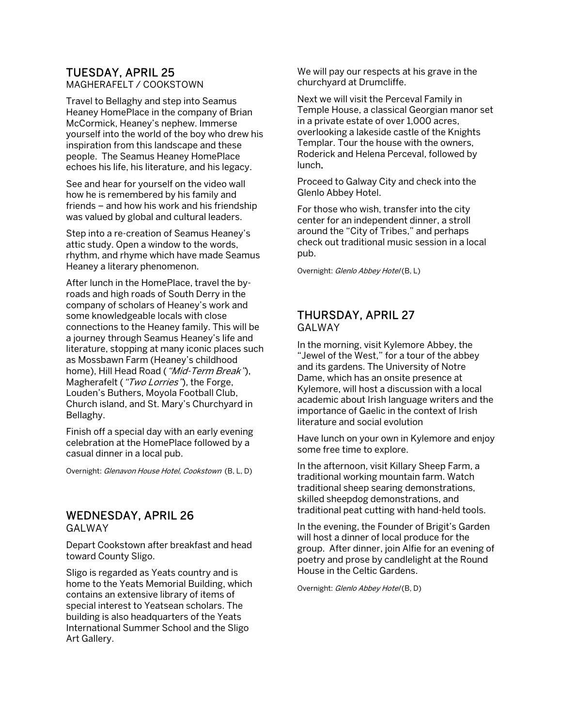## TUESDAY, APRIL 25

MAGHERAFELT / COOKSTOWN

Travel to Bellaghy and step into Seamus Heaney HomePlace in the company of Brian McCormick, Heaney's nephew. Immerse yourself into the world of the boy who drew his inspiration from this landscape and these people. The Seamus Heaney HomePlace echoes his life, his literature, and his legacy.

See and hear for yourself on the video wall how he is remembered by his family and friends – and how his work and his friendship was valued by global and cultural leaders.

Step into a re-creation of Seamus Heaney's attic study. Open a window to the words, rhythm, and rhyme which have made Seamus Heaney a literary phenomenon.

After lunch in the HomePlace, travel the byroads and high roads of South Derry in the company of scholars of Heaney's work and some knowledgeable locals with close connections to the Heaney family. This will be a journey through Seamus Heaney's life and literature, stopping at many iconic places such as Mossbawn Farm (Heaney's childhood home), Hill Head Road ("Mid-Term Break"), Magherafelt ("Two Lorries"), the Forge, Louden's Buthers, Moyola Football Club, Church island, and St. Mary's Churchyard in Bellaghy.

Finish off a special day with an early evening celebration at the HomePlace followed by a casual dinner in a local pub.

Overnight: Glenavon House Hotel, Cookstown (B, L, D)

### WEDNESDAY, APRIL 26

**GAI WAY** 

Depart Cookstown after breakfast and head toward County Sligo.

Sligo is regarded as Yeats country and is home to the Yeats Memorial Building, which contains an extensive library of items of special interest to Yeatsean scholars. The building is also headquarters of the Yeats International Summer School and the Sligo Art Gallery.

We will pay our respects at his grave in the churchyard at Drumcliffe.

Next we will visit the Perceval Family in Temple House, a classical Georgian manor set in a private estate of over 1,000 acres, overlooking a lakeside castle of the Knights Templar. Tour the house with the owners, Roderick and Helena Perceval, followed by lunch.

Proceed to Galway City and check into the Glenlo Abbey Hotel.

For those who wish, transfer into the city center for an independent dinner, a stroll around the "City of Tribes," and perhaps check out traditional music session in a local pub.

Overnight: Glenlo Abbey Hotel (B, L)

#### THURSDAY, APRIL 27 GALWAY

In the morning, visit Kylemore Abbey, the "Jewel of the West," for a tour of the abbey and its gardens. The University of Notre Dame, which has an onsite presence at Kylemore, will host a discussion with a local academic about Irish language writers and the importance of Gaelic in the context of Irish literature and social evolution

Have lunch on your own in Kylemore and enjoy some free time to explore.

In the afternoon, visit Killary Sheep Farm, a traditional working mountain farm. Watch traditional sheep searing demonstrations, skilled sheepdog demonstrations, and traditional peat cutting with hand-held tools.

In the evening, the Founder of Brigit's Garden will host a dinner of local produce for the group. After dinner, join Alfie for an evening of poetry and prose by candlelight at the Round House in the Celtic Gardens.

Overnight: Glenlo Abbey Hotel (B, D)